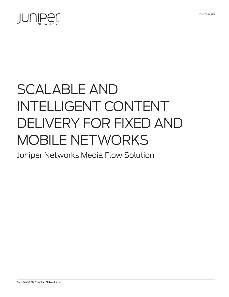

# SCALABLE AND INTELLIGENT CONTENT DELIVERY FOR FIXED AND MOBILE NETWORKS

Juniper Networks Media Flow Solution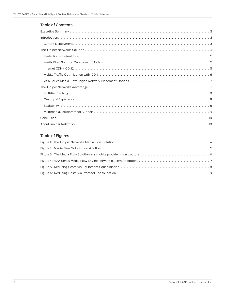# Table of Contents

# Table of Figures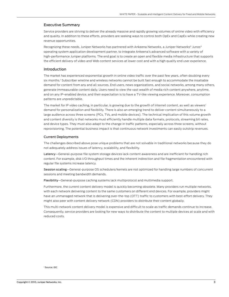## <span id="page-2-0"></span>Executive Summary

Service providers are striving to deliver the already massive and rapidly growing volumes of online video with efficiency and quality. In addition to these efforts, providers are seeking ways to control both OpEx and CapEx while creating new revenue opportunities.

Recognizing these needs, Juniper Networks has partnered with Ankeena Networks, a Juniper Networks® Junos® operating system application development partner, to integrate Ankeena's advanced software with a variety of high-performance Juniper platforms. The end goal is to create an open and flexible media infrastructure that supports the efficient delivery of video and Web content services at lower cost and with a high quality end user experience.

#### Introduction

The market has experienced exponential growth in online video traffic over the past few years, often doubling every six months.<sup>1</sup> Subscriber wireline and wireless networks cannot be built fast enough to accommodate the insatiable demand for content from any and all sources. End users, news organizations, and social networks, among many others, generate immeasurable content daily. Users need to view the vast wealth of media rich content anywhere, anytime, and on any IP-enabled device, and their expectation is to have a TV-like viewing experience. Moreover, consumption patterns are unpredictable.

The market for IP video caching, in particular, is growing due to the growth of Internet content, as well as viewers' demand for personalization and flexibility. There is also an emerging trend to deliver content simultaneously to a large audience across three screens (PCs, TVs, and mobile devices). The technical implication of this volume growth and content diversity is that networks must efficiently handle multiple data formats, protocols, streaming bit rates, and device types. They must also adapt to the change in traffic patterns, especially across three screens, without reprovisioning. The potential business impact is that continuous network investments can easily outstrip revenues.

#### Current Deployments

The challenges described above pose unique problems that are not solvable in traditional networks because they do not adequately address issues of latency, scalability, and flexibility.

Latency—General-purpose file system storage devices lack content awareness and are inefficient for handling rich content. For example, disk I/O throughput times and the inherent indirection and file fragmentation encountered with regular file systems increase latency.

Session scaling—General-purpose OS schedulers/kernels are not optimized for handling large numbers of concurrent sessions and meeting bandwidth demands.

Flexibility—General-purpose caching systems lack multiprotocol and multimedia support.

Furthermore, the current content delivery model is quickly becoming obsolete. Many providers run multiple networks, with each network delivering content to the same customers on different end devices. For example, providers might have an unmanaged network that is delivering over-the-top (OTT) traffic to customers with best-effort delivery. They might also peer with content delivery network (CDN) providers to distribute their content globally.

This multi-network content delivery model is expensive and difficult to scale as traffic demands continue to increase. Consequently, service providers are looking for new ways to distribute the content to multiple devices at scale and with reduced costs.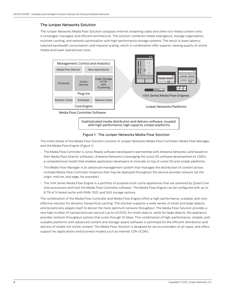## <span id="page-3-0"></span>The Juniper Networks Solution

The Juniper Networks Media Flow Solution collapses Internet streaming video and other rich media content onto a converged, managed, and efficient architecture. The solution combines media intelligence, storage organization, multitier caching, and network optimization with high-performance storage systems. The result is lower latency, reduced bandwidth consumption, and massive scaling, which in combination offer superior viewing quality of online media and lower operational costs.



Sophisticated media distribution and delivery software, coupled with high-performance, high capacity Juniper platforms

#### Figure 1: The Juniper Networks Media Flow Solution

The initial phase of the Media Flow Solution consists of Juniper Networks Media Flow Controller, Media Flow Manager, and the Media Flow Engine (Figure 1).

- The Media Flow Controller is Junos-Ready software developed in partnership with Ankeena Networks (and based on their Media Flow Director software). Ankeena Networks is leveraging the Junos OS software development kit (SDK), a comprehensive toolkit that enables application developers to innovate on top of Junos OS and Juniper platforms.
- The Media Flow Manager is an advanced management system that manages the distribution of content across multiple Media Flow Controller instances that may be deployed throughout the service provider network (at the origin, mid tier, and edge, for example).
- The VXA Series Media Flow Engine is a portfolio of purpose-built cache appliances that are powered by Quad-Core Intel processors and host the Media Flow Controller software. The Media Flow Engine can be configured with up to 8 TB of 3-tiered cache with RAM, SSD, and SAS storage options.

The combination of the Media Flow Controller and Media Flow Engine offers a high-performance, scalable, and costeffective solution for dynamic hierarchical caching. The solution supports a wide variety of small and large objects, and dynamically adapts itself to deliver the most optimum network throughput. The Media Flow Solution provides a very high number of transactions per second (up to 40,000) for small objects, while for large objects; the appliance provides network throughput options that scale through 10 Gbps. This combination of high-performance, reliable, and scalable platforms with advanced content and storage-aware software is optimized for the efficient distribution and delivery of media rich online content. The Media Flow Solution is designed for service providers of all types, and offers support for applications and business models such as Internet CDN (iCDN).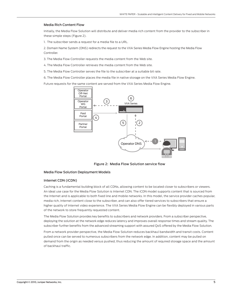#### <span id="page-4-0"></span>Media Rich Content Flow

Initially, the Media Flow Solution will distribute and deliver media rich content from the provider to the subscriber in these simple steps (Figure 2).

1. The subscriber sends a request for a media file to a URL.

2. Domain Name System (DNS) redirects the request to the VXA Series Media Flow Engine hosting the Media Flow Controller.

- 3. The Media Flow Controller requests the media content from the Web site.
- 4. The Media Flow Controller retrieves the media content from the Web site.
- 5. The Media Flow Controller serves the file to the subscriber at a suitable bit rate.
- 6. The Media Flow Controller places the media file in native storage on the VXA Series Media Flow Engine.

Future requests for the same content are served from the VXA Series Media Flow Engine.



Figure 2: Media Flow Solution service flow

#### Media Flow Solution Deployment Models

#### Internet CDN (iCDN)

Caching is a fundamental building block of all CDNs, allowing content to be located closer to subscribers or viewers. An ideal use case for the Media Flow Solution is Internet CDN. The iCDN model supports content that is sourced from the Internet and is applicable to both fixed line and mobile networks. In this model, the service provider caches popular, media rich, Internet content close to the subscriber, and can also offer tiered services to subscribers that ensure a higher quality of Internet video experience. The VXA Series Media Flow Engine can be flexibly deployed in various parts of the network to store frequently requested content.

The Media Flow Solution provides key benefits to subscribers and network providers. From a subscriber perspective, deploying the solution at the network edge reduces latency and improves overall response times and stream quality. The subscriber further benefits from the advanced streaming support with assured QoS offered by the Media Flow Solution.

From a network provider perspective, the Media Flow Solution reduces backhaul bandwidth and transit costs. Content pulled once can be served to numerous subscribers from the network edge. In addition, content may be pulled on demand from the origin as needed versus pushed, thus reducing the amount of required storage space and the amount of backhaul traffic.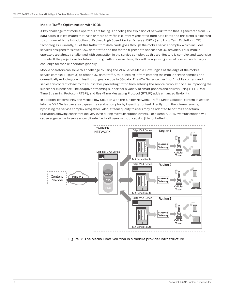#### <span id="page-5-0"></span>Mobile Traffic Optimization with iCDN

A key challenge that mobile operators are facing is handling the explosion of network traffic that is generated from 3G data cards. It is estimated that 70% or more of traffic is currently generated from data cards and this trend is expected to continue with the introduction of Evolved High Speed Packet Access (HSPA+) and Long Term Evolution (LTE) technologies. Currently, all of this traffic from data cards goes through the mobile service complex which includes services designed for slower 2.5G data traffic and not for the higher data speeds that 3G provides. Thus, mobile operators are already challenged with congestion in the service complex, as this architecture is complex and expensive to scale. If the projections for future traffic growth are even close, this will be a growing area of concern and a major challenge for mobile operators globally.

Mobile operators can solve this challenge by using the VXA Series Media Flow Engine at the edge of the mobile service complex (Figure 3) to offload 3G data traffic, thus keeping it from entering the mobile service complex and dramatically reducing or eliminating congestion due to 3G data. The VXA Series caches "hot" mobile content and serves this content closer to the subscriber, preventing traffic from entering the service complex and also improving the subscriber experience. The adaptive streaming support for a variety of smart phones and delivery using HTTP, Real-Time Streaming Protocol (RTSP), and Real-Time Messaging Protocol (RTMP) adds enhanced flexibility.

In addition, by combining the Media Flow Solution with the Juniper Networks Traffic Direct Solution, content ingestion into the VXA Series can also bypass the service complex by ingesting content directly from the Internet source, bypassing the service complex altogether. Also, stream quality to users may be adapted to optimize spectrum utilization allowing consistent delivery even during oversubscription events. For example, 20% oversubscription will cause edge cache to serve a low bit rate file to all users without causing jitter or buffering.



Figure 3: The Media Flow Solution in a mobile provider infrastructure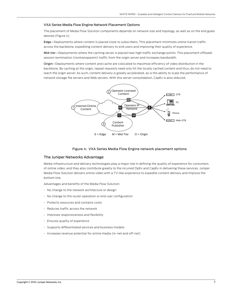#### <span id="page-6-0"></span>VXA Series Media Flow Engine Network Placement Options

The placement of Media Flow Solution components depends on network size and topology, as well as on the end goals desired (Figure 4).

Edge—Deployments where content is placed close to subscribers. This placement minimizes online transit traffic across the backbone, expediting content delivery to end users and improving their quality of experience.

Mid-tier—Deployments where the caching server is placed near high traffic exchange points. This placement offloads session termination (nontransparent) traffic from the origin server and increases bandwidth.

Origin—Deployments where content and cache are colocated to maximize efficiency of video distribution in the backbone. By caching at the origin, repeat requests need only hit the locally cached content and thus, do not need to reach the origin server. As such, content delivery is greatly accelerated, as is the ability to scale the performance of network storage file servers and Web servers. With this server consolidation, CapEx is also reduced.



#### Figure 4: VXA Series Media Flow Engine network placement options

#### The Juniper Networks Advantage

Media infrastructure and delivery technologies play a major role in defining the quality of experience for consumers of online video, and they also contribute greatly to the incurred OpEx and CapEx in delivering these services. Juniper Media Flow Solution delivers online video with a TV-like experience to expedite content delivery and improve the bottom line.

Advantages and benefits of the Media Flow Solution:

- No change to the network architecture or design
- No change to the router operation or end user configuration
- Protects resources and contains costs
- Reduces traffic across the network
- Improves responsiveness and flexibility
- Ensures quality of experience
- Supports differentiated services and business models
- Increases revenue potential for online media (in-net and off-net)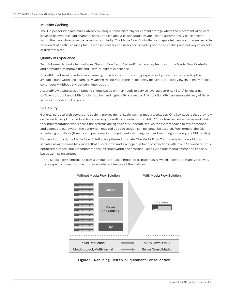#### <span id="page-7-0"></span>Multitier Caching

The Juniper solution minimizes latency by using a cache hierarchy for content storage where the placement of objects is based on dynamic load characteristics. Detailed analytics and statistics are used to automatically place objects within the tier's storage media based on popularity. The Media Flow Controller's storage intelligence addresses variable workloads of traffic, ensuring fast response times for end users and providing optimized caching and delivery of objects of different sizes.

#### Quality of Experience

Two Ankeena Networks technologies, SmoothFlow™ and AssuredFlow™, are key features of the Media Flow Controller and dramatically improve the end users' quality of experience.

SmoothFlow, based on adaptive streaming, provides a smooth viewing experience by dynamically detecting the available bandwidth and seamlessly varying the bit rate of the media being delivered. It allows viewers to enjoy media continuously without any buffering interruption.

AssuredFlow guarantees bit rates to clients based on their needs or service level agreements (SLAs) by ensuring sufficient output bandwidth for clients who need higher bit-rate media. This functionality can enable delivery of tiered services for additional revenue.

#### **Scalability**

General-purpose Web servers and caching proxies do not scale well for media workloads. One key issue is that they rely on the underlying OS scheduler for processing, as well as on network and disk I/O. For time sensitive media workloads, this implementation works only if the systems are significantly underutilized. As the system scales to more sessions and aggregate bandwidth, the bandwidth required by each session can no longer be assured. Furthermore, the OS scheduling primitives (threads and processes) add significant switching overhead, resulting in inadequate CPU scaling.

By way of contrast, the Media Flow Solution is optimized for scale. The Media Flow Controller is built on a highly scalable asynchronous task model that allows it to handle a large number of connections with low CPU overhead. This optimized protocol stack incorporates scaling (bandwidth and sessions), along with rate management and capacitybased admission control.

• The Media Flow Controller utilizes a unique rate-based model to dispatch tasks, which allows it to manage delivery rates specific to each connection as an inherent feature of the platform.



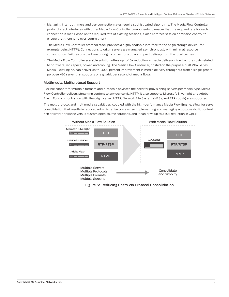- <span id="page-8-0"></span>• Managing interrupt timers and per-connection rates require sophisticated algorithms. The Media Flow Controller protocol stack interfaces with other Media Flow Controller components to ensure that the required rate for each connection is met. Based on the required rate of existing sessions, it also enforces session admission control to ensure that there is no over-commitment
- The Media Flow Controller protocol stack provides a highly scalable interface to the origin storage device (for example, using HTTP). Connections to origin servers are managed asynchronously with minimal resource consumption. Failures or slowdown of origin connections do not impact delivery from the local caches.
- The Media Flow Controller scalable solution offers up to 10x reduction in media delivery infrastructure costs related to hardware, rack space, power, and cooling. The Media Flow Controller, hosted on the purpose-built VXA Series Media Flow Engine, can deliver up to 1,000 percent improvement in media delivery throughput from a single generalpurpose x86 server that supports one gigabit per second of media flows.

#### Multimedia, Multiprotocol Support

Flexible support for multiple formats and protocols obviates the need for provisioning servers per media type. Media Flow Controller delivers streaming content to any device via HTTP. It also supports Microsoft Silverlight and Adobe Flash. For communication with the origin server, HTTP, Network File System (NFS), and FTP (push) are supported.

The multiprotocol and multimedia capabilities, coupled with the high-performance Media Flow Engine, allow for server consolidation that results in reduced administrative costs when implementing and managing a purpose-built, content rich delivery appliance versus custom open source solutions, and it can drive up to a 10:1 reduction in OpEx.



Figure 6: Reducing Costs Via Protocol Consolidation